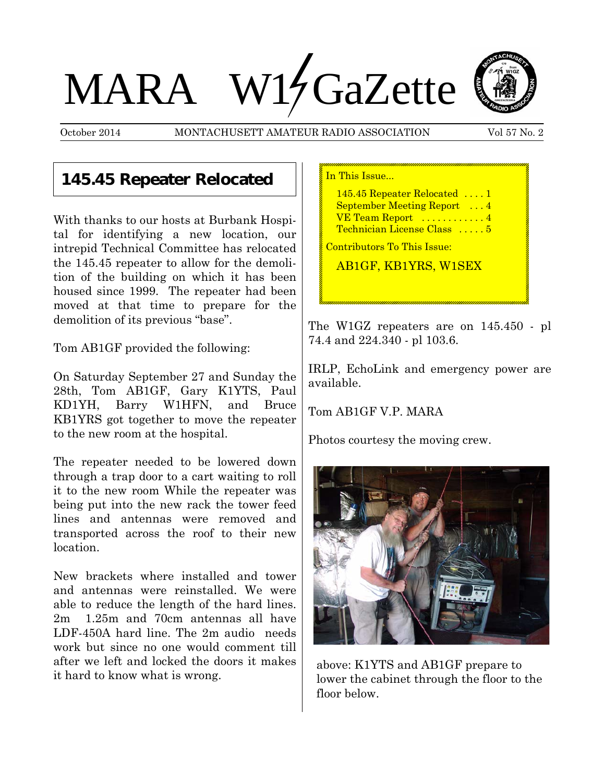# MARA W17GaZette

October 2014 MONTACHUSETT AMATEUR RADIO ASSOCIATION Vol 57 No. 2



## **145.45 Repeater Relocated**

With thanks to our hosts at Burbank Hospital for identifying a new location, our intrepid Technical Committee has relocated the 145.45 repeater to allow for the demolition of the building on which it has been housed since 1999. The repeater had been moved at that time to prepare for the demolition of its previous "base".

Tom AB1GF provided the following:

On Saturday September 27 and Sunday the 28th, Tom AB1GF, Gary K1YTS, Paul KD1YH, Barry W1HFN, and Bruce KB1YRS got together to move the repeater to the new room at the hospital.

The repeater needed to be lowered down through a trap door to a cart waiting to roll it to the new room While the repeater was being put into the new rack the tower feed lines and antennas were removed and transported across the roof to their new location.

New brackets where installed and tower and antennas were reinstalled. We were able to reduce the length of the hard lines. 2m 1.25m and 70cm antennas all have LDF-450A hard line. The 2m audio needs work but since no one would comment till after we left and locked the doors it makes it hard to know what is wrong.

| In This Issue                                                                                                                                |  |  |
|----------------------------------------------------------------------------------------------------------------------------------------------|--|--|
| 145.45 Repeater Relocated  1<br><b>September Meeting Report</b> 4<br>$VE$ Team Report $\dots\dots\dots\dots4$<br>Technician License Class  5 |  |  |
| <u> Contributors To This Issue:</u>                                                                                                          |  |  |
| <b>AB1GF, KB1YRS, W1SEX</b>                                                                                                                  |  |  |

The W1GZ repeaters are on 145.450 - pl 74.4 and 224.340 - pl 103.6.

IRLP, EchoLink and emergency power are available.

Tom AB1GF V.P. MARA

Photos courtesy the moving crew.



above: K1YTS and AB1GF prepare to lower the cabinet through the floor to the floor below.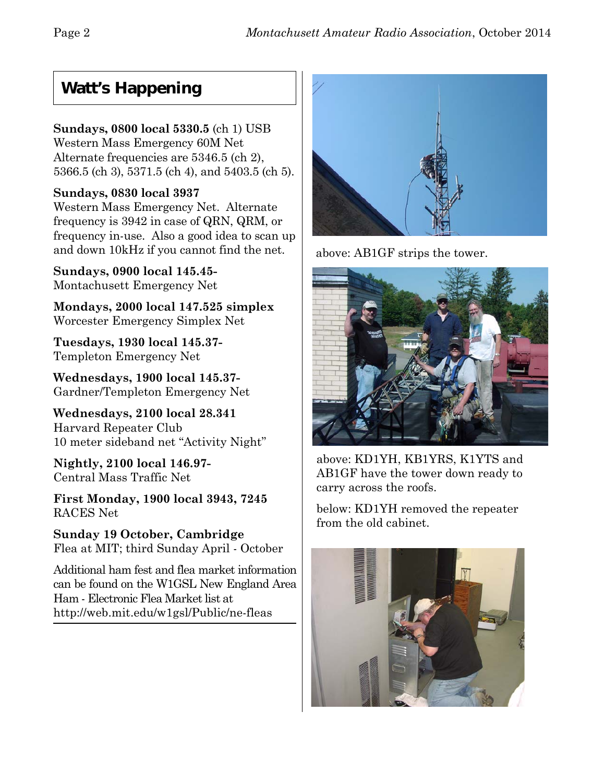## **Watt's Happening**

## **Sundays, 0800 local 5330.5** (ch 1) USB

Western Mass Emergency 60M Net Alternate frequencies are 5346.5 (ch 2), 5366.5 (ch 3), 5371.5 (ch 4), and 5403.5 (ch 5).

## **Sundays, 0830 local 3937**

Western Mass Emergency Net. Alternate frequency is 3942 in case of QRN, QRM, or frequency in-use. Also a good idea to scan up and down 10kHz if you cannot find the net.

**Sundays, 0900 local 145.45-** Montachusett Emergency Net

**Mondays, 2000 local 147.525 simplex** Worcester Emergency Simplex Net

**Tuesdays, 1930 local 145.37-** Templeton Emergency Net

**Wednesdays, 1900 local 145.37-** Gardner/Templeton Emergency Net

**Wednesdays, 2100 local 28.341** Harvard Repeater Club 10 meter sideband net "Activity Night"

**Nightly, 2100 local 146.97-** Central Mass Traffic Net

**First Monday, 1900 local 3943, 7245** RACES Net

**Sunday 19 October, Cambridge** Flea at MIT; third Sunday April - October

Additional ham fest and flea market information can be found on the W1GSL New England Area Ham - Electronic Flea Market list at http://web.mit.edu/w1gsl/Public/ne-fleas



above: AB1GF strips the tower.



above: KD1YH, KB1YRS, K1YTS and AB1GF have the tower down ready to carry across the roofs.

below: KD1YH removed the repeater from the old cabinet.

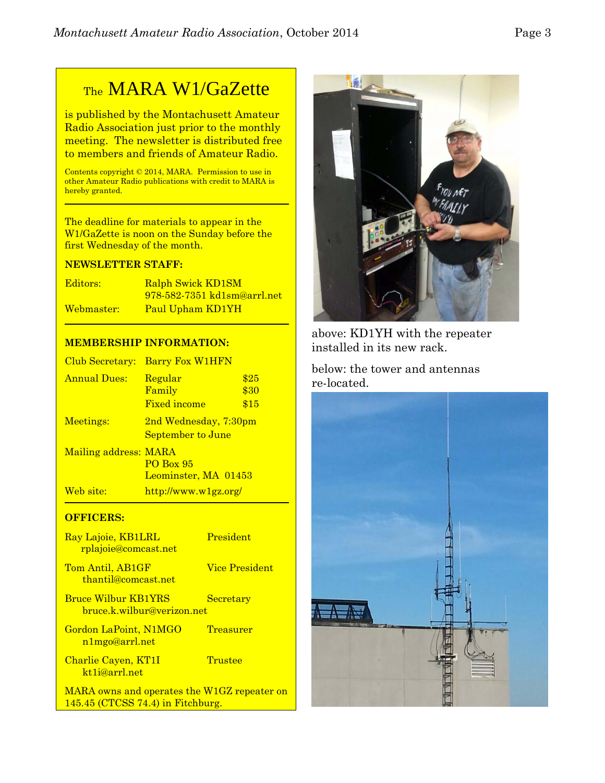## TheMARA W1/GaZette

is published by the Montachusett Amateur Radio Association just prior to the monthly meeting. The newsletter is distributed free to members and friends of Amateur Radio.

Contents copyright © 2014, MARA. Permission to use in other Amateur Radio publications with credit to MARA is hereby granted.

The deadline for materials to appear in the W1/GaZette is noon on the Sunday before the first Wednesday of the month.

#### **NEWSLETTER STAFF:**

| Editors:   | Ralph Swick KD1SM                  |
|------------|------------------------------------|
|            | <u>978-582-7351 kd1sm@arrl.net</u> |
| Webmaster: | Paul Upham KD1YH                   |

#### **MEMBERSHIP INFORMATION:**

| Club Secretary:       | <b>Barry Fox W1HFN</b>                              |                      |
|-----------------------|-----------------------------------------------------|----------------------|
| <b>Annual Dues:</b>   | Regular<br>Family<br><b>Fixed income</b>            | \$25<br>\$30<br>\$15 |
| Meetings:             | 2nd Wednesday, 7:30pm<br>September to June          |                      |
| Mailing address: MARA | <b>PO Box 95</b><br>Leominster, MA 01453            |                      |
| Web site:             | $\frac{http://www.w1gz.org/}{http://www.w1gz.org/}$ |                      |

#### **OFFICERS:**

| Ray Lajoie, KB1LRL<br><u>rplajoie@comcast.net</u>        | President             |
|----------------------------------------------------------|-----------------------|
| Tom Antil, AB1GF<br>thantil@comcast.net                  | <b>Vice President</b> |
| <b>Bruce Wilbur KB1YRS</b><br>bruce.k.wilbur@verizon.net | Secretary             |
| <b>Gordon LaPoint, N1MGO</b><br>n1mgo@arrl.net           | Treasurer             |
| Charlie Cayen, KT1I<br>kt1j@arrl.net                     | Trustee               |
| MARA owns and operates the W1GZ repeater                 |                       |

MARA owns and operates the W1GZ repeater on 145.45 (CTCSS 74.4) in Fitchburg.



above: KD1YH with the repeater installed in its new rack.

below: the tower and antennas re-located.

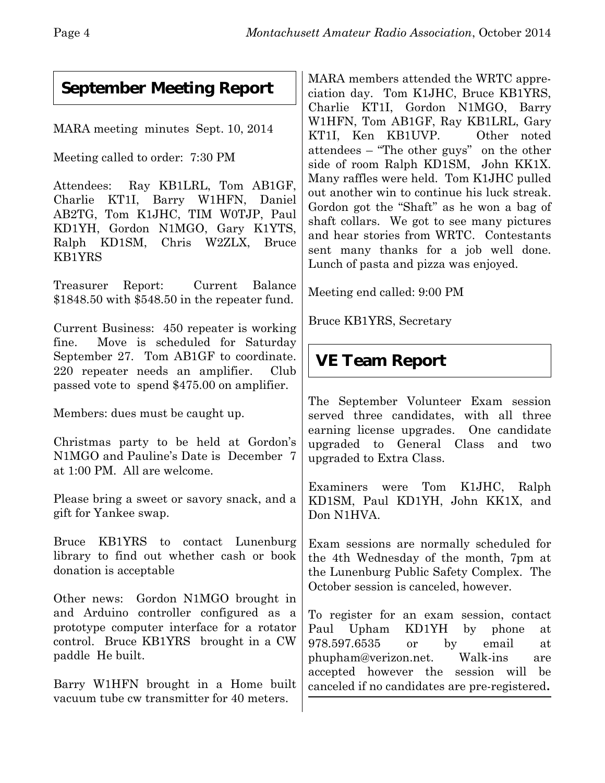## **September Meeting Report**

MARA meeting minutes Sept. 10, 2014

Meeting called to order: 7:30 PM

Attendees: Ray KB1LRL, Tom AB1GF, Charlie KT1I, Barry W1HFN, Daniel AB2TG, Tom K1JHC, TIM W0TJP, Paul KD1YH, Gordon N1MGO, Gary K1YTS, Ralph KD1SM, Chris W2ZLX, Bruce KB1YRS

Treasurer Report: Current Balance \$1848.50 with \$548.50 in the repeater fund.

Current Business: 450 repeater is working fine. Move is scheduled for Saturday September 27. Tom AB1GF to coordinate. 220 repeater needs an amplifier. Club passed vote to spend \$475.00 on amplifier.

Members: dues must be caught up.

Christmas party to be held at Gordon's N1MGO and Pauline's Date is December 7 at 1:00 PM. All are welcome.

Please bring a sweet or savory snack, and a gift for Yankee swap.

Bruce KB1YRS to contact Lunenburg library to find out whether cash or book donation is acceptable

Other news: Gordon N1MGO brought in and Arduino controller configured as a prototype computer interface for a rotator control. Bruce KB1YRS brought in a CW paddle He built.

Barry W1HFN brought in a Home built vacuum tube cw transmitter for 40 meters.

MARA members attended the WRTC appreciation day. Tom K1JHC, Bruce KB1YRS, Charlie KT1I, Gordon N1MGO, Barry W1HFN, Tom AB1GF, Ray KB1LRL, Gary KT1I, Ken KB1UVP. Other noted attendees – "The other guys" on the other side of room Ralph KD1SM, John KK1X. Many raffles were held. Tom K1JHC pulled out another win to continue his luck streak. Gordon got the "Shaft" as he won a bag of shaft collars. We got to see many pictures and hear stories from WRTC. Contestants sent many thanks for a job well done. Lunch of pasta and pizza was enjoyed.

Meeting end called: 9:00 PM

Bruce KB1YRS, Secretary

# **VE Team Report**

The September Volunteer Exam session served three candidates, with all three earning license upgrades. One candidate upgraded to General Class and two upgraded to Extra Class.

Examiners were Tom K1JHC, Ralph KD1SM, Paul KD1YH, John KK1X, and Don N1HVA

Exam sessions are normally scheduled for the 4th Wednesday of the month, 7pm at the Lunenburg Public Safety Complex. The October session is canceled, however.

To register for an exam session, contact Paul Upham KD1YH by phone at 978.597.6535 or by email at phupham@verizon.net. Walk-ins are accepted however the session will be canceled if no candidates are pre-registered**.**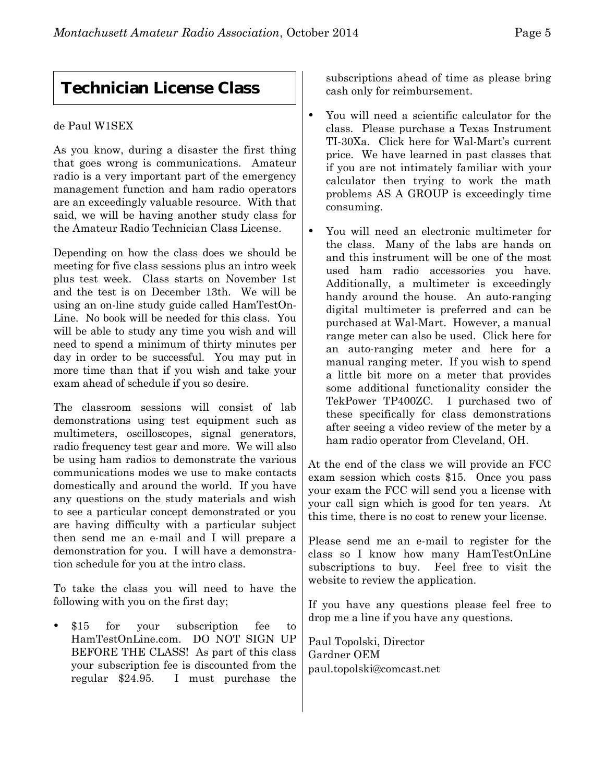## **Technician License Class**

#### de Paul W1SEX

As you know, during a disaster the first thing that goes wrong is communications. Amateur radio is a very important part of the emergency management function and ham radio operators are an exceedingly valuable resource. With that said, we will be having another study class for the Amateur Radio Technician Class License.

Depending on how the class does we should be meeting for five class sessions plus an intro week plus test week. Class starts on November 1st and the test is on December 13th. We will be using an on-line study guide called HamTestOn-Line. No book will be needed for this class. You will be able to study any time you wish and will need to spend a minimum of thirty minutes per day in order to be successful. You may put in more time than that if you wish and take your exam ahead of schedule if you so desire.

The classroom sessions will consist of lab demonstrations using test equipment such as multimeters, oscilloscopes, signal generators, radio frequency test gear and more. We will also be using ham radios to demonstrate the various communications modes we use to make contacts domestically and around the world. If you have any questions on the study materials and wish to see a particular concept demonstrated or you are having difficulty with a particular subject then send me an e-mail and I will prepare a demonstration for you. I will have a demonstration schedule for you at the intro class.

To take the class you will need to have the following with you on the first day;

 \$15 for your subscription fee to HamTestOnLine.com. DO NOT SIGN UP BEFORE THE CLASS! As part of this class your subscription fee is discounted from the regular \$24.95. I must purchase the subscriptions ahead of time as please bring cash only for reimbursement.

- You will need a scientific calculator for the class. Please purchase a Texas Instrument TI-30Xa. Click here for Wal-Mart's current price. We have learned in past classes that if you are not intimately familiar with your calculator then trying to work the math problems AS A GROUP is exceedingly time consuming.
	- You will need an electronic multimeter for the class. Many of the labs are hands on and this instrument will be one of the most used ham radio accessories you have. Additionally, a multimeter is exceedingly handy around the house. An auto-ranging digital multimeter is preferred and can be purchased at Wal-Mart. However, a manual range meter can also be used. Click here for an auto-ranging meter and here for a manual ranging meter. If you wish to spend a little bit more on a meter that provides some additional functionality consider the TekPower TP400ZC. I purchased two of these specifically for class demonstrations after seeing a video review of the meter by a ham radio operator from Cleveland, OH.

At the end of the class we will provide an FCC exam session which costs \$15. Once you pass your exam the FCC will send you a license with your call sign which is good for ten years. At this time, there is no cost to renew your license.

Please send me an e-mail to register for the class so I know how many HamTestOnLine subscriptions to buy. Feel free to visit the website to review the application.

If you have any questions please feel free to drop me a line if you have any questions.

Paul Topolski, Director Gardner OEM paul.topolski@comcast.net